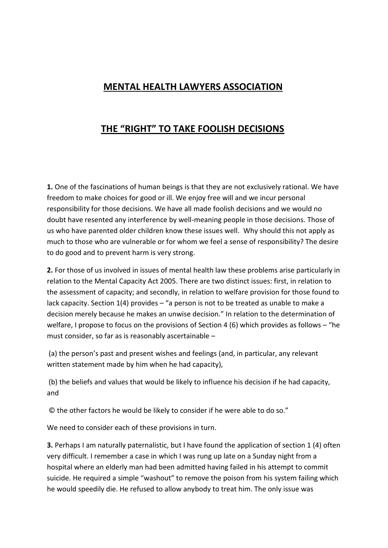## **MENTAL HEALTH LAWYERS ASSOCIATION**

## **THE "RIGHT" TO TAKE FOOLISH DECISIONS**

**1.** One of the fascinations of human beings is that they are not exclusively rational. We have freedom to make choices for good or ill. We enjoy free will and we incur personal responsibility for those decisions. We have all made foolish decisions and we would no doubt have resented any interference by well-meaning people in those decisions. Those of us who have parented older children know these issues well. Why should this not apply as much to those who are vulnerable or for whom we feel a sense of responsibility? The desire to do good and to prevent harm is very strong.

**2.** For those of us involved in issues of mental health law these problems arise particularly in relation to the Mental Capacity Act 2005. There are two distinct issues: first, in relation to the assessment of capacity; and secondly, in relation to welfare provision for those found to lack capacity. Section 1(4) provides – "a person is not to be treated as unable to make a decision merely because he makes an unwise decision." In relation to the determination of welfare, I propose to focus on the provisions of Section 4 (6) which provides as follows – "he must consider, so far as is reasonably ascertainable –

(a) the person's past and present wishes and feelings (and, in particular, any relevant written statement made by him when he had capacity),

(b) the beliefs and values that would be likely to influence his decision if he had capacity, and

© the other factors he would be likely to consider if he were able to do so."

We need to consider each of these provisions in turn.

**3.** Perhaps I am naturally paternalistic, but I have found the application of section 1 (4) often very difficult. I remember a case in which I was rung up late on a Sunday night from a hospital where an elderly man had been admitted having failed in his attempt to commit suicide. He required a simple "washout" to remove the poison from his system failing which he would speedily die. He refused to allow anybody to treat him. The only issue was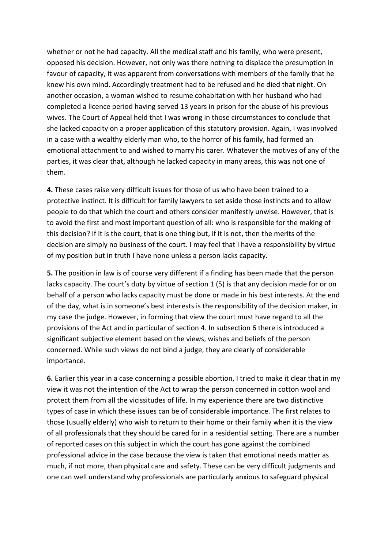whether or not he had capacity. All the medical staff and his family, who were present, opposed his decision. However, not only was there nothing to displace the presumption in favour of capacity, it was apparent from conversations with members of the family that he knew his own mind. Accordingly treatment had to be refused and he died that night. On another occasion, a woman wished to resume cohabitation with her husband who had completed a licence period having served 13 years in prison for the abuse of his previous wives. The Court of Appeal held that I was wrong in those circumstances to conclude that she lacked capacity on a proper application of this statutory provision. Again, I was involved in a case with a wealthy elderly man who, to the horror of his family, had formed an emotional attachment to and wished to marry his carer. Whatever the motives of any of the parties, it was clear that, although he lacked capacity in many areas, this was not one of them.

**4.** These cases raise very difficult issues for those of us who have been trained to a protective instinct. It is difficult for family lawyers to set aside those instincts and to allow people to do that which the court and others consider manifestly unwise. However, that is to avoid the first and most important question of all: who is responsible for the making of this decision? If it is the court, that is one thing but, if it is not, then the merits of the decision are simply no business of the court. I may feel that I have a responsibility by virtue of my position but in truth I have none unless a person lacks capacity.

**5.** The position in law is of course very different if a finding has been made that the person lacks capacity. The court's duty by virtue of section 1 (5) is that any decision made for or on behalf of a person who lacks capacity must be done or made in his best interests. At the end of the day, what is in someone's best interests is the responsibility of the decision maker, in my case the judge. However, in forming that view the court must have regard to all the provisions of the Act and in particular of section 4. In subsection 6 there is introduced a significant subjective element based on the views, wishes and beliefs of the person concerned. While such views do not bind a judge, they are clearly of considerable importance.

**6.** Earlier this year in a case concerning a possible abortion, I tried to make it clear that in my view it was not the intention of the Act to wrap the person concerned in cotton wool and protect them from all the vicissitudes of life. In my experience there are two distinctive types of case in which these issues can be of considerable importance. The first relates to those (usually elderly) who wish to return to their home or their family when it is the view of all professionals that they should be cared for in a residential setting. There are a number of reported cases on this subject in which the court has gone against the combined professional advice in the case because the view is taken that emotional needs matter as much, if not more, than physical care and safety. These can be very difficult judgments and one can well understand why professionals are particularly anxious to safeguard physical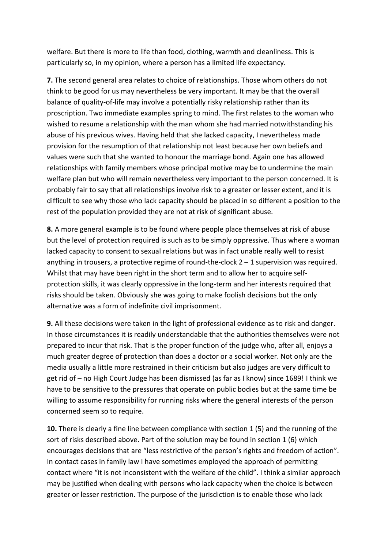welfare. But there is more to life than food, clothing, warmth and cleanliness. This is particularly so, in my opinion, where a person has a limited life expectancy.

**7.** The second general area relates to choice of relationships. Those whom others do not think to be good for us may nevertheless be very important. It may be that the overall balance of quality-of-life may involve a potentially risky relationship rather than its proscription. Two immediate examples spring to mind. The first relates to the woman who wished to resume a relationship with the man whom she had married notwithstanding his abuse of his previous wives. Having held that she lacked capacity, I nevertheless made provision for the resumption of that relationship not least because her own beliefs and values were such that she wanted to honour the marriage bond. Again one has allowed relationships with family members whose principal motive may be to undermine the main welfare plan but who will remain nevertheless very important to the person concerned. It is probably fair to say that all relationships involve risk to a greater or lesser extent, and it is difficult to see why those who lack capacity should be placed in so different a position to the rest of the population provided they are not at risk of significant abuse.

**8.** A more general example is to be found where people place themselves at risk of abuse but the level of protection required is such as to be simply oppressive. Thus where a woman lacked capacity to consent to sexual relations but was in fact unable really well to resist anything in trousers, a protective regime of round-the-clock  $2 - 1$  supervision was required. Whilst that may have been right in the short term and to allow her to acquire selfprotection skills, it was clearly oppressive in the long-term and her interests required that risks should be taken. Obviously she was going to make foolish decisions but the only alternative was a form of indefinite civil imprisonment.

**9.** All these decisions were taken in the light of professional evidence as to risk and danger. In those circumstances it is readily understandable that the authorities themselves were not prepared to incur that risk. That is the proper function of the judge who, after all, enjoys a much greater degree of protection than does a doctor or a social worker. Not only are the media usually a little more restrained in their criticism but also judges are very difficult to get rid of – no High Court Judge has been dismissed (as far as I know) since 1689! I think we have to be sensitive to the pressures that operate on public bodies but at the same time be willing to assume responsibility for running risks where the general interests of the person concerned seem so to require.

**10.** There is clearly a fine line between compliance with section 1 (5) and the running of the sort of risks described above. Part of the solution may be found in section 1 (6) which encourages decisions that are "less restrictive of the person's rights and freedom of action". In contact cases in family law I have sometimes employed the approach of permitting contact where "it is not inconsistent with the welfare of the child". I think a similar approach may be justified when dealing with persons who lack capacity when the choice is between greater or lesser restriction. The purpose of the jurisdiction is to enable those who lack